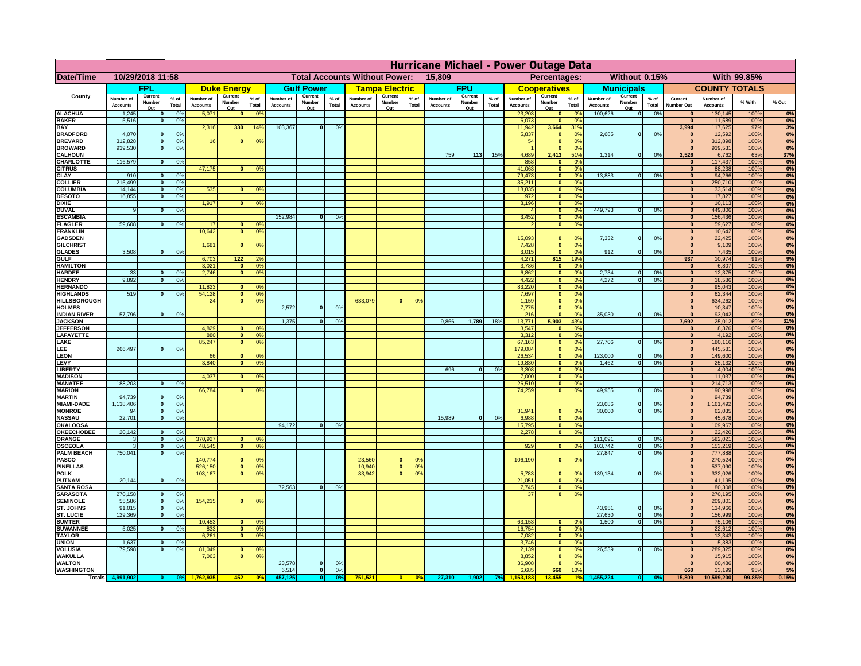|                                      | Hurricane Michael - Power Outage Data |                          |                 |                              |                    |                                                    |                              |                          |                |                              |                                              |                  |                              |                   |                 |                              |                     |                                  |                              |                          |                 |                                  |                              |              |          |
|--------------------------------------|---------------------------------------|--------------------------|-----------------|------------------------------|--------------------|----------------------------------------------------|------------------------------|--------------------------|----------------|------------------------------|----------------------------------------------|------------------|------------------------------|-------------------|-----------------|------------------------------|---------------------|----------------------------------|------------------------------|--------------------------|-----------------|----------------------------------|------------------------------|--------------|----------|
| Date/Time                            | 10/29/2018 11:58                      |                          |                 |                              |                    | <b>Total Accounts Without Power:</b><br>15,809     |                              |                          |                |                              | Without 0.15%<br>With 99.85%<br>Percentages: |                  |                              |                   |                 |                              |                     |                                  |                              |                          |                 |                                  |                              |              |          |
|                                      |                                       | FPL                      |                 |                              | <b>Duke Energy</b> |                                                    |                              | <b>Gulf Power</b>        |                |                              | <b>Tampa Electric</b>                        |                  |                              | <b>FPU</b>        |                 |                              | <b>Cooperatives</b> |                                  |                              | <b>Municipals</b>        |                 |                                  | <b>COUNTY TOTALS</b>         |              |          |
| County                               | Number of<br><b>Accounts</b>          | Current<br>Number        | $%$ of<br>Total | Number of<br><b>Accounts</b> | Current<br>Number  | $%$ of<br>Total                                    | Number of<br><b>Accounts</b> | Current<br>Number<br>Out | % of<br>Total  | Number of<br><b>Accounts</b> | Current<br>Number                            | $%$ of<br>Total  | Number of<br><b>Accounts</b> | Current<br>Number | $%$ of<br>Total | Number of<br><b>Accounts</b> | Current<br>Number   | $%$ of<br>Total                  | Number of<br><b>Accounts</b> | Current<br>Number        | $%$ of<br>Total | Current<br><b>Number Out</b>     | Number of<br><b>Accounts</b> | % With       | % Out    |
| <b>ALACHUA</b>                       | 1,245                                 | Out<br>$\mathbf{0}$      | 0%              | 5,071                        | Out<br>$\bf{0}$    | 0 <sup>9</sup>                                     |                              |                          |                |                              | Out                                          |                  |                              | Out               |                 | 23,203                       | Out<br> 0           | 0 <sup>9</sup>                   | 100,626                      | Out<br> 0                | 0%              | $\bf{0}$                         | 130,145                      | 100%         | 0%       |
| <b>BAKER</b>                         | 5,516                                 | 0                        | 0%              |                              |                    |                                                    |                              |                          |                |                              |                                              |                  |                              |                   |                 | 6,073                        | 0                   | 0%                               |                              |                          |                 | $\mathbf{0}$                     | 11,589                       | 100%         | 0%       |
| <b>BAY</b><br><b>BRADFORD</b>        | 4,070                                 | $\mathbf{0}$             | 0%              | 2,316                        | 330                | 14%                                                | 103,367                      | 0                        | 0%             |                              |                                              |                  |                              |                   |                 | 11,942<br>5,837              | 3,664<br> 0         | 31%<br>0%                        | 2,685                        | 0                        | 0%              | 3,994<br>$\bf{0}$                | 117,625<br>12,592            | 97%<br>100%  | 3%<br>0% |
| <b>BREVARD</b>                       | 312,828                               | 0                        | 0%              | 16                           | 0                  | 0 <sup>o</sup>                                     |                              |                          |                |                              |                                              |                  |                              |                   |                 | 54                           | 0                   | 0%                               |                              |                          |                 | 0                                | 312,898                      | 100%         | 0%       |
| <b>BROWARD</b>                       | 939.530                               | 0                        | 0%              |                              |                    |                                                    |                              |                          |                |                              |                                              |                  |                              |                   |                 |                              | 0                   | 0%                               |                              |                          |                 | $\Omega$                         | 939,531                      | 100%         | 0%       |
| <b>CALHOUN</b>                       |                                       |                          |                 |                              |                    |                                                    |                              |                          |                |                              |                                              |                  | 759                          | $113$             | 15%             | 4,689                        | 2,413               | 51%                              | 1,314                        | 0                        | 0%              | 2,526                            | 6,762                        | 63%          | 37%      |
| CHARLOTTE<br><b>CITRUS</b>           | 116,579                               | 0                        | 0%              | 47,175                       | $\mathbf{0}$       | 0 <sup>o</sup>                                     |                              |                          |                |                              |                                              |                  |                              |                   |                 | 858<br>41,063                | 0 <br> 0            | 0 <sup>9</sup><br>0 <sup>9</sup> |                              |                          |                 | $\bf{0}$<br>$\bf{0}$             | 117,437<br>88,238            | 100%<br>100% | 0%<br>0% |
| <b>CLAY</b>                          | 910                                   | $\mathbf{0}$             | 0%              |                              |                    |                                                    |                              |                          |                |                              |                                              |                  |                              |                   |                 | 79,473                       | 0                   | 0%                               | 13,883                       | $\mathbf{0}$             | 0%              | $\bf{0}$                         | 94,266                       | 100%         | 0%       |
| <b>COLLIER</b>                       | 215,499                               | $\mathbf{0}$             | 0 <sup>9</sup>  |                              |                    |                                                    |                              |                          |                |                              |                                              |                  |                              |                   |                 | 35,211                       | 0                   | 0%                               |                              |                          |                 | $\bf{0}$                         | 250,710                      | 100%         | 0%       |
| <b>COLUMBIA</b>                      | 14,144                                | $\mathbf 0$              | 0%              | 535                          | $\mathbf{0}$       | 0 <sup>9</sup>                                     |                              |                          |                |                              |                                              |                  |                              |                   |                 | 18,835                       | 0                   | 0%                               |                              |                          |                 | $\bf{0}$                         | 33,514                       | 100%         | 0%       |
| <b>DESOTO</b><br><b>DIXIE</b>        | 16,855                                | $\mathbf{0}$             | 0%              | 1,917                        | $\Omega$           | 0 <sup>9</sup>                                     |                              |                          |                |                              |                                              |                  |                              |                   |                 | 972<br>8,196                 | 0 <br> 0            | 0%<br>0%                         |                              |                          |                 | $\bf{0}$<br>$\Omega$             | 17,827<br>10,113             | 100%<br>100% | 0%<br>0% |
| <b>DUVAL</b>                         | 9                                     | $\Omega$                 | 0%              |                              |                    |                                                    |                              |                          |                |                              |                                              |                  |                              |                   |                 |                              | 0                   | 0%                               | 449.793                      | $\overline{0}$           | 0%              | $\Omega$                         | 449,806                      | 100%         | 0%       |
| <b>ESCAMBIA</b>                      |                                       |                          |                 |                              |                    |                                                    | 152,984                      | $\mathbf{0}$             | 0 <sup>9</sup> |                              |                                              |                  |                              |                   |                 | 3,452                        | 0                   | 0%                               |                              |                          |                 | $\Omega$                         | 156,436                      | 100%         | 0%       |
| <b>FLAGLER</b>                       | 59,608                                | $\overline{0}$           | 0%              | 17                           | $\bf{0}$           | 0 <sup>o</sup>                                     |                              |                          |                |                              |                                              |                  |                              |                   |                 |                              | 0                   | 0%                               |                              |                          |                 | $\bf{0}$                         | 59,627                       | 100%         | 0%       |
| <b>FRANKLIN</b>                      |                                       |                          |                 | 10,642                       | 0                  | 0 <sup>9</sup>                                     |                              |                          |                |                              |                                              |                  |                              |                   |                 | 15,093                       |                     |                                  | 7,332                        |                          | 0%              | $\overline{0}$<br>$\overline{0}$ | 10,642<br>22,425             | 100%<br>100% | 0%<br>0% |
| <b>GADSDEN</b><br><b>GILCHRIST</b>   |                                       |                          |                 | 1,681                        | $\Omega$           | 0 <sup>9</sup>                                     |                              |                          |                |                              |                                              |                  |                              |                   |                 | 7,428                        | $\mathbf{0}$<br> 0  | 0%<br>0%                         |                              | 0                        |                 | $\overline{0}$                   | 9,109                        | 100%         | 0%       |
| <b>GLADES</b>                        | 3,508                                 |                          | 0%<br> 0        |                              |                    |                                                    |                              |                          |                |                              |                                              |                  |                              |                   |                 | 3,015                        | 0                   | 0%                               | 912                          | $\overline{0}$           | 0%              | 0                                | 7,435                        | 100%         | 0%       |
| <b>GULF</b>                          |                                       |                          |                 | 6,703                        | $122$              | 2 <sup>o</sup>                                     |                              |                          |                |                              |                                              |                  |                              |                   |                 | 4,271                        | 815                 | 19%                              |                              |                          |                 | 937                              | 10,974                       | 91%          | 9%       |
| <b>HAMILTON</b>                      |                                       |                          |                 | 3,021                        |                    | $\overline{0}$<br>0 <sup>9</sup><br>$\overline{0}$ |                              |                          |                |                              |                                              |                  |                              |                   |                 | 3,786                        | 0                   | 0%                               |                              |                          |                 | 0                                | 6,807                        | 100%         | 0%       |
| <b>HARDEE</b><br><b>HENDRY</b>       | 33<br>9,892                           | $\mathbf{0}$<br>$\Omega$ | 0%<br>0%        | 2.746                        |                    | 0 <sup>9</sup>                                     |                              |                          |                |                              |                                              |                  |                              |                   |                 | 6.862<br>4,422               | 0 <br> 0            | 0%<br>0%                         | 2.734<br>4,272               | $\mathbf{0}$<br>$\Omega$ | 0%<br>0%        | 0 <br> 0                         | 12,375<br>18,586             | 100%<br>100% | 0%<br>0% |
| <b>HERNANDO</b>                      |                                       |                          |                 | 11,823                       |                    | 0 <sup>9</sup><br>$\mathbf{0}$                     |                              |                          |                |                              |                                              |                  |                              |                   |                 | 83,220                       | 0                   | 0%                               |                              |                          |                 | $\mathbf{0}$                     | 95,043                       | 100%         | 0%       |
| <b>HIGHLANDS</b>                     | 519                                   | $\mathbf{0}$             | 0 <sup>9</sup>  | 54,128                       |                    | 0 <br>0 <sup>9</sup>                               |                              |                          |                |                              |                                              |                  |                              |                   |                 | 7,697                        | 0                   | 0%                               |                              |                          |                 | $\mathbf{0}$                     | 62,344                       | 100%         | 0%       |
| <b>HILLSBOROUGH</b>                  |                                       |                          |                 | 24                           |                    | 0 <br>0 <sup>9</sup>                               |                              |                          |                | 633,079                      |                                              | 0%               |                              |                   |                 | 1,159                        | 0                   | 0%                               |                              |                          |                 | $\mathbf{0}$                     | 634,262                      | 100%         | 0%       |
| <b>HOLMES</b><br><b>INDIAN RIVER</b> | 57,796                                | $\mathbf{0}$             |                 |                              |                    |                                                    | 2.572                        | $\mathbf{0}$             | 0%             |                              |                                              |                  |                              |                   |                 | 7,775                        | 0 <br> 0            | 0%<br>0%                         | 35,030                       | $\mathbf{0}$             | 0%              | $\mathbf{0}$<br>$\mathbf{0}$     | 10,347                       | 100%         | 0%<br>0% |
| <b>JACKSON</b>                       |                                       |                          | 0%              |                              |                    |                                                    | 1.375                        | $\mathbf{0}$             | 0 <sup>9</sup> |                              |                                              |                  | 9,866                        | 1,789             | 18%             | 216<br>13.771                | 5.903               | 43%                              |                              |                          |                 | 7.692                            | 93,042<br>25,012             | 100%<br>69%  | 31%      |
| <b>JEFFERSON</b>                     |                                       |                          |                 | 4.829                        |                    | n l<br>0 <sup>9</sup>                              |                              |                          |                |                              |                                              |                  |                              |                   |                 | 3.547                        | 0                   | 0%                               |                              |                          |                 | 0                                | 8.376                        | 100%         | 0%       |
| LAFAYETTE                            |                                       |                          |                 | 880                          |                    | 0 <br>0 <sup>9</sup>                               |                              |                          |                |                              |                                              |                  |                              |                   |                 | 3.312                        | 0                   | 0%                               |                              |                          |                 | 0                                | 4.192                        | 100%         | 0%       |
| LAKE                                 |                                       |                          |                 | 85,247                       |                    | $\mathbf{0}$<br>0 <sup>9</sup>                     |                              |                          |                |                              |                                              |                  |                              |                   |                 | 67,163                       | 0                   | 0%                               | 27,706                       | $\Omega$                 | 0%              | 0                                | 180,116                      | 100%         | 0%       |
| .EE<br>LEON                          | 266,497                               | $\Omega$                 | 0%              | 66                           |                    | $\mathbf{0}$<br>0 <sup>o</sup>                     |                              |                          |                |                              |                                              |                  |                              |                   |                 | 179,084<br>26,534            | 0 <br> 0            | 0%<br>0%                         | 123,000                      | $\mathbf{0}$             | 0%              | 0 <br> 0                         | 445,581<br>149,600           | 100%<br>100% | 0%<br>0% |
| LEVY                                 |                                       |                          |                 | 3,840                        | $\Omega$           | 0 <sup>9</sup>                                     |                              |                          |                |                              |                                              |                  |                              |                   |                 | 19,830                       | 0                   | 0%                               | 1,462                        | 0                        | 0%              | 0                                | 25,132                       | 100%         | 0%       |
| LIBERTY                              |                                       |                          |                 |                              |                    |                                                    |                              |                          |                |                              |                                              |                  | 696                          | $\Omega$          | 0%              | 3,308                        | 0                   | 0%                               |                              |                          |                 | 0                                | 4,004                        | 100%         | 0%       |
| <b>MADISON</b>                       |                                       |                          |                 | 4,037                        | $\Omega$           | 0 <sup>9</sup>                                     |                              |                          |                |                              |                                              |                  |                              |                   |                 | 7,000                        | 0                   | 0%                               |                              |                          |                 | 0                                | 11,037                       | 100%         | 0%       |
| <b>MANATEE</b>                       | 188,203                               |                          | 0 <br>0%        |                              |                    |                                                    |                              |                          |                |                              |                                              |                  |                              |                   |                 | 26,510                       | 0                   | 0%                               |                              | $\Omega$                 |                 | 0                                | 214,713                      | 100%         | 0%<br>0% |
| <b>MARION</b><br><b>MARTIN</b>       | 94,739                                | 0                        | 0%              | 66,784                       | $\Omega$           | 0 <sup>9</sup>                                     |                              |                          |                |                              |                                              |                  |                              |                   |                 | 74,259                       | 0                   | 0%                               | 49,955                       |                          | 0%              | 0 <br> 0                         | 190,998<br>94,739            | 100%<br>100% | 0%       |
| <b>MIAMI-DADE</b>                    | 1,138,406                             |                          | 0 <br>0%        |                              |                    |                                                    |                              |                          |                |                              |                                              |                  |                              |                   |                 |                              |                     |                                  | 23,086                       | $\mathbf{0}$             | 0%              | 0                                | 1,161,492                    | 100%         | 0%       |
| <b>MONROE</b>                        | 94                                    |                          | 0 <br>0%        |                              |                    |                                                    |                              |                          |                |                              |                                              |                  |                              |                   |                 | 31,941                       | $\overline{0}$      | 0 <sup>9</sup>                   | 30,000                       | 0                        | 0%              | 0                                | 62,035                       | 100%         | 0%       |
| <b>NASSAU</b>                        | 22,701                                |                          | 0 <br>0%        |                              |                    |                                                    |                              |                          |                |                              |                                              |                  | 15,989                       | 0                 | 0%              | 6,988                        | 0                   | 0%                               |                              |                          |                 | 0                                | 45,678                       | 100%         | 0%       |
| <b>OKALOOSA</b><br><b>OKEECHOBEE</b> | 20,142                                | 0                        | 0%              |                              |                    |                                                    | 94,172                       | $\mathbf{0}$             | 0%             |                              |                                              |                  |                              |                   |                 | 15,795<br>2,278              | 0                   | 0%<br>0%<br> 0                   |                              |                          |                 | 0 <br> 0                         | 109,967<br>22,420            | 100%<br>100% | 0%<br>0% |
| ORANGE                               | 3                                     |                          | 0%<br> 0        | 370,927                      |                    | 0 <br>0 <sup>o</sup>                               |                              |                          |                |                              |                                              |                  |                              |                   |                 |                              |                     |                                  | 211,091                      | $\overline{\mathbf{0}}$  | 0%              | 0                                | 582,021                      | 100%         | 0%       |
| <b>OSCEOLA</b>                       | 3                                     |                          | 0%<br> 0        | 48,545                       |                    | 0 <sup>9</sup><br> 0                               |                              |                          |                |                              |                                              |                  |                              |                   |                 | 929                          |                     | 0 <br>0%                         | 103,742                      | 0                        | 0%              | 0                                | 153,219                      | 100%         | 0%       |
| <b>PALM BEACH</b>                    | 750,041                               |                          | 0 <br>0%        |                              |                    |                                                    |                              |                          |                |                              |                                              |                  |                              |                   |                 |                              |                     |                                  | 27,847                       | $\overline{\mathbf{0}}$  | 0%              | 0                                | 777,888                      | 100%         | 0%       |
| PASCO<br><b>PINELLAS</b>             |                                       |                          |                 | 140,774<br>526,150           |                    | 0 <sup>9</sup><br>$\Omega$<br>0 <sup>9</sup><br> 0 |                              |                          |                | 23,560<br>10,940             | $\Omega$<br> 0                               | $^{\circ}$<br>0% |                              |                   |                 | 106,190                      |                     | 0 <br>0%                         |                              |                          |                 | 0 <br>$\mathbf{0}$               | 270,524                      | 100%<br>100% | 0%<br>0% |
| <b>POLK</b>                          |                                       |                          |                 | 103,167                      |                    | 0 <sup>9</sup><br> 0                               |                              |                          |                | 83,942                       | $\mathbf{a}$                                 | 0%               |                              |                   |                 | 5,783                        | 0                   | $\Omega$                         | 139,134                      | 0                        | 0%              | 0                                | 537,090<br>332,026           | 100%         | 0%       |
| <b>PUTNAM</b>                        | 20,144                                | 0                        | 0%              |                              |                    |                                                    |                              |                          |                |                              |                                              |                  |                              |                   |                 | 21,051                       | $\ddot{\text{o}}$   | 0%                               |                              |                          |                 | $\bf{0}$                         | 41,195                       | 100%         | 0%       |
| <b>SANTA ROSA</b>                    |                                       |                          |                 |                              |                    |                                                    | 72,563                       | 0                        | 0%             |                              |                                              |                  |                              |                   |                 | 7,745                        | 0                   | 0%                               |                              |                          |                 | $\mathbf{0}$                     | 80,308                       | 100%         | 0%       |
| <b>SARASOTA</b>                      | 270,158<br>55,586                     |                          | 0 <br>0%<br>0%  |                              |                    | $\mathbf{0}$<br>0 <sup>9</sup>                     |                              |                          |                |                              |                                              |                  |                              |                   |                 | 37                           |                     | 0 <br>0%                         |                              |                          |                 | 0 <br> 0                         | 270,195                      | 100%         | 0%<br>0% |
| <b>SEMINOLE</b><br>ST. JOHNS         | 91,015                                |                          | 0 <br> 0 <br>0% | 154,215                      |                    |                                                    |                              |                          |                |                              |                                              |                  |                              |                   |                 |                              |                     |                                  | 43,951                       | -ol                      | 0%              | 0                                | 209,801<br>134,966           | 100%<br>100% | 0%       |
| <b>ST. LUCIE</b>                     | 129.369                               | $\overline{0}$           | 0%              |                              |                    |                                                    |                              |                          |                |                              |                                              |                  |                              |                   |                 |                              |                     |                                  | 27.630                       | - O I                    | 0%              | 0                                | 156,999                      | 100%         | 0%       |
| <b>SUMTER</b>                        |                                       |                          |                 | 10,453                       |                    | 0 <br>0 <sup>9</sup>                               |                              |                          |                |                              |                                              |                  |                              |                   |                 | 63,153                       | 0                   | 0%                               | 1.500                        | 0                        | 0%              | 0                                | 75,106                       | 100%         | 0%       |
| <b>SUWANNEE</b>                      | 5,025                                 | 0                        | 0%              | 833                          | 0                  | 0 <sup>o</sup>                                     |                              |                          |                |                              |                                              |                  |                              |                   |                 | 16,754                       | 0                   | 0%                               |                              |                          |                 | $\mathbf{0}$                     | 22,612                       | 100%         | 0%       |
| <b>TAYLOR</b><br><b>UNION</b>        | 1,637                                 | $\mathbf{0}$             | 0%              | 6,261                        |                    | 0 <br>0 <sup>9</sup>                               |                              |                          |                |                              |                                              |                  |                              |                   |                 | 7,082<br>3,746               | 0 <br> 0            | 0%<br>0%                         |                              |                          |                 | $\bf{0}$<br>$\bf{0}$             | 13,343<br>5,383              | 100%<br>100% | 0%<br>0% |
| <b>VOLUSIA</b>                       | 179,598                               | 0                        | 0%              | 81,049                       | $\mathbf{0}$       | $\mathbf{0}$                                       |                              |                          |                |                              |                                              |                  |                              |                   |                 | 2,139                        | 0                   | 0%                               | 26,539                       | 0                        | 0%              | $\bf{0}$                         | 289,325                      | 100%         | 0%       |
| <b>WAKULLA</b>                       |                                       |                          |                 | 7,063                        | $\mathbf{0}$       | 0 <sup>9</sup>                                     |                              |                          |                |                              |                                              |                  |                              |                   |                 | 8,852                        | 0                   | 0%                               |                              |                          |                 | $\mathbf{0}$                     | 15,915                       | 100%         | 0%       |
| <b>WALTON</b>                        |                                       |                          |                 |                              |                    |                                                    | 23,578                       | $\mathbf{0}$             | 0%             |                              |                                              |                  |                              |                   |                 | 36,908                       | 0                   | 0%                               |                              |                          |                 | $\mathbf{0}$                     | 60,486                       | 100%         | 0%       |
| <b>WASHINGTON</b>                    |                                       |                          |                 |                              |                    | 0 <sup>6</sup>                                     | 6,514                        | 0                        | 0%             |                              |                                              |                  |                              |                   |                 | 6,685<br>153.18              | 660<br>3.455        | 10%                              |                              |                          |                 | 660                              | 13,199                       | 95%          | 5%       |
| <b>Totals</b>                        |                                       |                          |                 |                              | 452                |                                                    |                              | $\bullet$                |                | 751,521                      | 0                                            | 0%               | 27,310                       | 1,902             |                 |                              |                     |                                  |                              |                          |                 | 15,809                           | 10,599,200                   | 99.85%       | 0.15%    |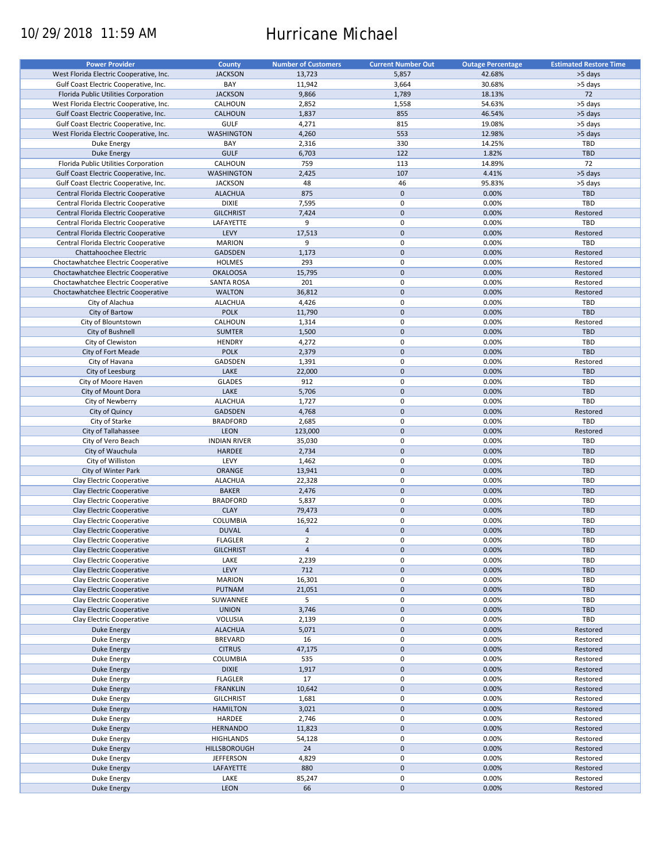# 10/29/2018 11:59 AM Hurricane Michael

| <b>Power Provider</b>                   | <b>County</b>       | <b>Number of Customers</b> | <b>Current Number Out</b> |                          | <b>Estimated Restore Time</b> |
|-----------------------------------------|---------------------|----------------------------|---------------------------|--------------------------|-------------------------------|
|                                         |                     |                            |                           | <b>Outage Percentage</b> |                               |
| West Florida Electric Cooperative, Inc. | <b>JACKSON</b>      | 13,723                     | 5,857                     | 42.68%                   | >5 days                       |
| Gulf Coast Electric Cooperative, Inc.   | BAY                 | 11,942                     | 3,664                     | 30.68%                   | >5 days                       |
| Florida Public Utilities Corporation    | <b>JACKSON</b>      | 9,866                      | 1,789                     | 18.13%                   | 72                            |
| West Florida Electric Cooperative, Inc. | CALHOUN             | 2,852                      | 1,558                     | 54.63%                   | >5 days                       |
| Gulf Coast Electric Cooperative, Inc.   | <b>CALHOUN</b>      | 1,837                      | 855                       | 46.54%                   | >5 days                       |
| Gulf Coast Electric Cooperative, Inc.   | <b>GULF</b>         | 4,271                      | 815                       | 19.08%                   | >5 days                       |
|                                         |                     |                            |                           |                          |                               |
| West Florida Electric Cooperative, Inc. | <b>WASHINGTON</b>   | 4,260                      | 553                       | 12.98%                   | >5 days                       |
| Duke Energy                             | BAY                 | 2,316                      | 330                       | 14.25%                   | TBD                           |
| <b>Duke Energy</b>                      | <b>GULF</b>         | 6,703                      | 122                       | 1.82%                    | <b>TBD</b>                    |
| Florida Public Utilities Corporation    | CALHOUN             | 759                        | 113                       | 14.89%                   | 72                            |
| Gulf Coast Electric Cooperative, Inc.   | <b>WASHINGTON</b>   | 2,425                      | 107                       | 4.41%                    | >5 days                       |
| Gulf Coast Electric Cooperative, Inc.   | <b>JACKSON</b>      | 48                         | 46                        | 95.83%                   | >5 days                       |
| Central Florida Electric Cooperative    | <b>ALACHUA</b>      | 875                        | $\mathbf 0$               | 0.00%                    | <b>TBD</b>                    |
|                                         |                     |                            |                           |                          |                               |
| Central Florida Electric Cooperative    | <b>DIXIE</b>        | 7,595                      | $\pmb{0}$                 | 0.00%                    | TBD                           |
| Central Florida Electric Cooperative    | <b>GILCHRIST</b>    | 7,424                      | $\pmb{0}$                 | 0.00%                    | Restored                      |
| Central Florida Electric Cooperative    | LAFAYETTE           | 9                          | $\pmb{0}$                 | 0.00%                    | TBD                           |
| Central Florida Electric Cooperative    | LEVY                | 17,513                     | $\mathbf 0$               | 0.00%                    | Restored                      |
| Central Florida Electric Cooperative    | <b>MARION</b>       | 9                          | $\pmb{0}$                 | 0.00%                    | TBD                           |
| Chattahoochee Electric                  | <b>GADSDEN</b>      | 1,173                      | $\mathbf 0$               | 0.00%                    | Restored                      |
|                                         |                     |                            |                           |                          |                               |
| Choctawhatchee Electric Cooperative     | <b>HOLMES</b>       | 293                        | $\pmb{0}$                 | 0.00%                    | Restored                      |
| Choctawhatchee Electric Cooperative     | <b>OKALOOSA</b>     | 15,795                     | $\mathbf 0$               | 0.00%                    | Restored                      |
| Choctawhatchee Electric Cooperative     | <b>SANTA ROSA</b>   | 201                        | $\pmb{0}$                 | 0.00%                    | Restored                      |
| Choctawhatchee Electric Cooperative     | <b>WALTON</b>       | 36,812                     | $\mathbf 0$               | 0.00%                    | Restored                      |
| City of Alachua                         | <b>ALACHUA</b>      | 4,426                      | $\mathbf 0$               | 0.00%                    | TBD                           |
| City of Bartow                          | <b>POLK</b>         | 11,790                     | $\mathbf 0$               | 0.00%                    | <b>TBD</b>                    |
|                                         |                     |                            |                           |                          |                               |
| City of Blountstown                     | CALHOUN             | 1,314                      | 0                         | 0.00%                    | Restored                      |
| City of Bushnell                        | <b>SUMTER</b>       | 1,500                      | $\mathbf 0$               | 0.00%                    | <b>TBD</b>                    |
| City of Clewiston                       | <b>HENDRY</b>       | 4,272                      | $\pmb{0}$                 | 0.00%                    | TBD                           |
| City of Fort Meade                      | <b>POLK</b>         | 2,379                      | $\mathbf 0$               | 0.00%                    | <b>TBD</b>                    |
| City of Havana                          | GADSDEN             | 1,391                      | $\pmb{0}$                 | 0.00%                    | Restored                      |
| City of Leesburg                        | LAKE                | 22,000                     | $\mathbf 0$               | 0.00%                    | <b>TBD</b>                    |
|                                         |                     |                            | 0                         |                          | TBD                           |
| City of Moore Haven                     | <b>GLADES</b>       | 912                        |                           | 0.00%                    |                               |
| City of Mount Dora                      | LAKE                | 5,706                      | $\mathbf 0$               | 0.00%                    | <b>TBD</b>                    |
| City of Newberry                        | <b>ALACHUA</b>      | 1,727                      | $\pmb{0}$                 | 0.00%                    | TBD                           |
| City of Quincy                          | <b>GADSDEN</b>      | 4,768                      | $\mathbf 0$               | 0.00%                    | Restored                      |
| City of Starke                          | <b>BRADFORD</b>     | 2,685                      | $\pmb{0}$                 | 0.00%                    | TBD                           |
| City of Tallahassee                     | LEON                | 123,000                    | $\mathbf 0$               | 0.00%                    | Restored                      |
| City of Vero Beach                      | <b>INDIAN RIVER</b> | 35,030                     | $\pmb{0}$                 | 0.00%                    | TBD                           |
| City of Wauchula                        | <b>HARDEE</b>       | 2,734                      | $\mathbf 0$               | 0.00%                    | <b>TBD</b>                    |
|                                         |                     |                            |                           |                          |                               |
| City of Williston                       | LEVY                | 1,462                      | $\pmb{0}$                 | 0.00%                    | TBD                           |
| City of Winter Park                     | ORANGE              | 13,941                     | $\mathbf 0$               | 0.00%                    | <b>TBD</b>                    |
| Clay Electric Cooperative               | <b>ALACHUA</b>      | 22,328                     | $\pmb{0}$                 | 0.00%                    | <b>TBD</b>                    |
| Clay Electric Cooperative               | <b>BAKER</b>        | 2,476                      | $\mathbf 0$               | 0.00%                    | <b>TBD</b>                    |
| Clay Electric Cooperative               | <b>BRADFORD</b>     | 5,837                      | 0                         | 0.00%                    | <b>TBD</b>                    |
| Clay Electric Cooperative               | <b>CLAY</b>         | 79,473                     | $\mathbf 0$               | 0.00%                    | <b>TBD</b>                    |
| Clay Electric Cooperative               | <b>COLUMBIA</b>     | 16,922                     | $\pmb{0}$                 | 0.00%                    | <b>TBD</b>                    |
|                                         |                     |                            |                           |                          |                               |
| Clay Electric Cooperative               | <b>DUVAL</b>        | $\overline{4}$             | $\mathbf 0$               | 0.00%                    | <b>TBD</b>                    |
| Clay Electric Cooperative               | <b>FLAGLER</b>      | $\mathbf 2$                | $\mathbf 0$               | 0.00%                    | TBD                           |
| Clay Electric Cooperative               | <b>GILCHRIST</b>    | $\overline{4}$             | $\pmb{0}$                 | 0.00%                    | <b>TBD</b>                    |
| Clay Electric Cooperative               | LAKE                | 2,239                      | 0                         | 0.00%                    | TBD                           |
| Clay Electric Cooperative               | LEVY                | 712                        | $\pmb{0}$                 | 0.00%                    | TBD                           |
| Clay Electric Cooperative               | <b>MARION</b>       | 16,301                     | 0                         | 0.00%                    | TBD                           |
|                                         |                     |                            |                           |                          | <b>TBD</b>                    |
| Clay Electric Cooperative               | PUTNAM              | 21,051                     | $\mathsf{O}\xspace$       | 0.00%                    |                               |
| Clay Electric Cooperative               | SUWANNEE            | 5                          | 0                         | 0.00%                    | TBD                           |
| Clay Electric Cooperative               | <b>UNION</b>        | 3,746                      | $\mathsf{O}\xspace$       | 0.00%                    | <b>TBD</b>                    |
| Clay Electric Cooperative               | VOLUSIA             | 2,139                      | 0                         | 0.00%                    | TBD                           |
| Duke Energy                             | <b>ALACHUA</b>      | 5,071                      | $\pmb{0}$                 | 0.00%                    | Restored                      |
| Duke Energy                             | <b>BREVARD</b>      | 16                         | 0                         | 0.00%                    | Restored                      |
| Duke Energy                             | <b>CITRUS</b>       | 47,175                     | $\pmb{0}$                 | 0.00%                    | Restored                      |
| Duke Energy                             | <b>COLUMBIA</b>     | 535                        | 0                         | 0.00%                    | Restored                      |
|                                         |                     |                            |                           |                          |                               |
| Duke Energy                             | <b>DIXIE</b>        | 1,917                      | $\pmb{0}$                 | 0.00%                    | Restored                      |
| Duke Energy                             | <b>FLAGLER</b>      | 17                         | $\pmb{0}$                 | 0.00%                    | Restored                      |
| Duke Energy                             | <b>FRANKLIN</b>     | 10,642                     | $\pmb{0}$                 | 0.00%                    | Restored                      |
| Duke Energy                             | <b>GILCHRIST</b>    | 1,681                      | $\pmb{0}$                 | 0.00%                    | Restored                      |
| Duke Energy                             | <b>HAMILTON</b>     | 3,021                      | $\pmb{0}$                 | 0.00%                    | Restored                      |
| Duke Energy                             | HARDEE              | 2,746                      | 0                         | 0.00%                    | Restored                      |
| <b>Duke Energy</b>                      | <b>HERNANDO</b>     | 11,823                     | $\pmb{0}$                 | 0.00%                    | Restored                      |
|                                         |                     |                            |                           |                          |                               |
| Duke Energy                             | <b>HIGHLANDS</b>    | 54,128                     | $\pmb{0}$                 | 0.00%                    | Restored                      |
| Duke Energy                             | <b>HILLSBOROUGH</b> | 24                         | $\pmb{0}$                 | 0.00%                    | Restored                      |
| Duke Energy                             | <b>JEFFERSON</b>    | 4,829                      | 0                         | 0.00%                    | Restored                      |
| Duke Energy                             | LAFAYETTE           | 880                        | $\pmb{0}$                 | 0.00%                    | Restored                      |
| Duke Energy                             | LAKE                | 85,247                     | 0                         | 0.00%                    | Restored                      |
| Duke Energy                             | LEON                | 66                         | $\pmb{0}$                 | 0.00%                    | Restored                      |
|                                         |                     |                            |                           |                          |                               |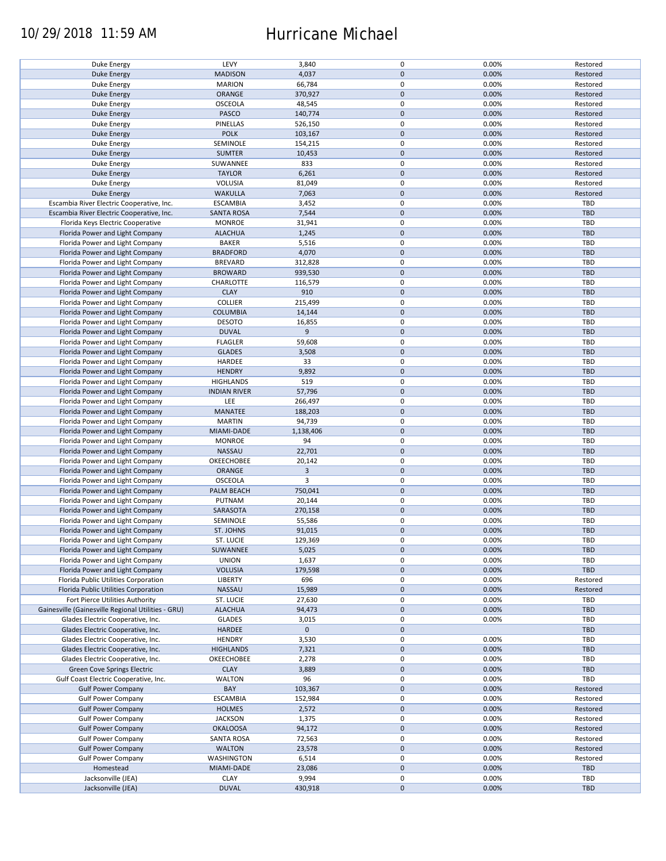## 10/29/2018 11:59 AM Hurricane Michael

| Duke Energy                                        | LEVY                | 3,840          | $\pmb{0}$           | 0.00% | Restored   |
|----------------------------------------------------|---------------------|----------------|---------------------|-------|------------|
| <b>Duke Energy</b>                                 | <b>MADISON</b>      | 4,037          | $\mathbf 0$         | 0.00% | Restored   |
|                                                    |                     |                |                     |       |            |
| Duke Energy                                        | <b>MARION</b>       | 66,784         | 0                   | 0.00% | Restored   |
| <b>Duke Energy</b>                                 | ORANGE              | 370,927        | $\mathbf 0$         | 0.00% | Restored   |
|                                                    |                     |                |                     |       |            |
| Duke Energy                                        | <b>OSCEOLA</b>      | 48,545         | $\pmb{0}$           | 0.00% | Restored   |
| <b>Duke Energy</b>                                 | PASCO               | 140,774        | $\mathbf 0$         | 0.00% | Restored   |
| Duke Energy                                        | PINELLAS            | 526,150        | $\pmb{0}$           | 0.00% | Restored   |
|                                                    |                     |                |                     |       |            |
| <b>Duke Energy</b>                                 | <b>POLK</b>         | 103,167        | $\mathbf 0$         | 0.00% | Restored   |
| Duke Energy                                        | SEMINOLE            | 154,215        | $\pmb{0}$           | 0.00% | Restored   |
|                                                    |                     |                |                     |       |            |
| <b>Duke Energy</b>                                 | <b>SUMTER</b>       | 10,453         | $\mathbf 0$         | 0.00% | Restored   |
| Duke Energy                                        | SUWANNEE            | 833            | 0                   | 0.00% | Restored   |
|                                                    |                     |                | $\mathbf 0$         |       |            |
| <b>Duke Energy</b>                                 | <b>TAYLOR</b>       | 6,261          |                     | 0.00% | Restored   |
| Duke Energy                                        | <b>VOLUSIA</b>      | 81,049         | $\pmb{0}$           | 0.00% | Restored   |
| <b>Duke Energy</b>                                 | <b>WAKULLA</b>      | 7,063          | $\mathbf 0$         | 0.00% | Restored   |
|                                                    |                     |                |                     |       |            |
| Escambia River Electric Cooperative, Inc.          | <b>ESCAMBIA</b>     | 3,452          | $\pmb{0}$           | 0.00% | TBD        |
| Escambia River Electric Cooperative, Inc.          | <b>SANTA ROSA</b>   | 7,544          | $\pmb{0}$           | 0.00% | <b>TBD</b> |
|                                                    |                     |                |                     |       |            |
| Florida Keys Electric Cooperative                  | <b>MONROE</b>       | 31,941         | $\pmb{0}$           | 0.00% | TBD        |
| Florida Power and Light Company                    | <b>ALACHUA</b>      | 1,245          | $\pmb{0}$           | 0.00% | <b>TBD</b> |
| Florida Power and Light Company                    | <b>BAKER</b>        | 5,516          | $\pmb{0}$           | 0.00% | <b>TBD</b> |
|                                                    |                     |                |                     |       |            |
| Florida Power and Light Company                    | <b>BRADFORD</b>     | 4,070          | $\pmb{0}$           | 0.00% | <b>TBD</b> |
| Florida Power and Light Company                    | <b>BREVARD</b>      | 312,828        | 0                   | 0.00% | TBD        |
|                                                    |                     |                |                     |       |            |
| Florida Power and Light Company                    | <b>BROWARD</b>      | 939,530        | $\pmb{0}$           | 0.00% | <b>TBD</b> |
| Florida Power and Light Company                    | CHARLOTTE           | 116,579        | 0                   | 0.00% | TBD        |
|                                                    |                     |                |                     |       |            |
| Florida Power and Light Company                    | <b>CLAY</b>         | 910            | $\pmb{0}$           | 0.00% | <b>TBD</b> |
| Florida Power and Light Company                    | <b>COLLIER</b>      | 215,499        | $\pmb{0}$           | 0.00% | <b>TBD</b> |
|                                                    |                     |                |                     |       |            |
| Florida Power and Light Company                    | <b>COLUMBIA</b>     | 14,144         | $\pmb{0}$           | 0.00% | <b>TBD</b> |
| Florida Power and Light Company                    | <b>DESOTO</b>       | 16,855         | $\pmb{0}$           | 0.00% | TBD        |
| Florida Power and Light Company                    | <b>DUVAL</b>        | 9              | $\mathbf 0$         | 0.00% | <b>TBD</b> |
|                                                    |                     |                |                     |       |            |
| Florida Power and Light Company                    | <b>FLAGLER</b>      | 59,608         | $\pmb{0}$           | 0.00% | TBD        |
| Florida Power and Light Company                    | <b>GLADES</b>       | 3,508          | $\mathbf 0$         | 0.00% | <b>TBD</b> |
|                                                    |                     |                |                     |       |            |
| Florida Power and Light Company                    | HARDEE              | 33             | 0                   | 0.00% | <b>TBD</b> |
| Florida Power and Light Company                    | <b>HENDRY</b>       | 9,892          | $\mathbf 0$         | 0.00% | <b>TBD</b> |
|                                                    |                     |                |                     |       |            |
| Florida Power and Light Company                    | <b>HIGHLANDS</b>    | 519            | 0                   | 0.00% | <b>TBD</b> |
| Florida Power and Light Company                    | <b>INDIAN RIVER</b> | 57,796         | $\pmb{0}$           | 0.00% | <b>TBD</b> |
|                                                    |                     |                |                     |       |            |
| Florida Power and Light Company                    | LEE                 | 266,497        | 0                   | 0.00% | TBD        |
| Florida Power and Light Company                    | MANATEE             | 188,203        | $\mathbf 0$         | 0.00% | <b>TBD</b> |
| Florida Power and Light Company                    | <b>MARTIN</b>       | 94,739         | 0                   | 0.00% | TBD        |
|                                                    |                     |                |                     |       |            |
| Florida Power and Light Company                    | MIAMI-DADE          | 1,138,406      | $\mathbf 0$         | 0.00% | <b>TBD</b> |
| Florida Power and Light Company                    | <b>MONROE</b>       | 94             | $\pmb{0}$           | 0.00% | TBD        |
|                                                    |                     |                |                     |       |            |
| Florida Power and Light Company                    | NASSAU              | 22,701         | $\pmb{0}$           | 0.00% | <b>TBD</b> |
| Florida Power and Light Company                    | OKEECHOBEE          | 20,142         | $\pmb{0}$           | 0.00% | TBD        |
|                                                    |                     |                |                     |       |            |
| Florida Power and Light Company                    | ORANGE              | $\overline{3}$ | $\pmb{0}$           | 0.00% | <b>TBD</b> |
| Florida Power and Light Company                    | OSCEOLA             | 3              | $\pmb{0}$           | 0.00% | <b>TBD</b> |
| Florida Power and Light Company                    | PALM BEACH          | 750,041        | $\pmb{0}$           | 0.00% | <b>TBD</b> |
|                                                    |                     |                |                     |       |            |
| Florida Power and Light Company                    | PUTNAM              | 20,144         | 0                   | 0.00% | <b>TBD</b> |
| Florida Power and Light Company                    | SARASOTA            | 270,158        | $\mathbf 0$         | 0.00% | <b>TBD</b> |
|                                                    |                     |                |                     |       |            |
| Florida Power and Light Company                    | SEMINOLE            | 55,586         | $\pmb{0}$           | 0.00% | <b>TBD</b> |
| Florida Power and Light Company                    | ST. JOHNS           | 91,015         | $\mathbf 0$         | 0.00% | <b>TBD</b> |
|                                                    |                     |                |                     |       |            |
| Florida Power and Light Company                    | ST. LUCIE           | 129,369        | $\mathbf 0$         | 0.00% | TBD        |
| Florida Power and Light Company                    | SUWANNEE            | 5,025          | $\pmb{0}$           | 0.00% | <b>TBD</b> |
|                                                    |                     |                |                     |       |            |
| Florida Power and Light Company                    | <b>UNION</b>        | 1,637          | 0                   | 0.00% | <b>TBD</b> |
| Florida Power and Light Company                    | <b>VOLUSIA</b>      | 179,598        | $\mathsf{O}\xspace$ | 0.00% | TBD        |
| Florida Public Utilities Corporation               | <b>LIBERTY</b>      | 696            | 0                   | 0.00% | Restored   |
|                                                    |                     |                |                     |       |            |
| Florida Public Utilities Corporation               | NASSAU              | 15,989         | $\mathsf{O}\xspace$ | 0.00% | Restored   |
| Fort Pierce Utilities Authority                    | ST. LUCIE           | 27,630         | 0                   | 0.00% | <b>TBD</b> |
|                                                    |                     |                |                     |       |            |
| Gainesville (Gainesville Regional Utilities - GRU) | <b>ALACHUA</b>      | 94,473         | $\mathsf{O}\xspace$ | 0.00% | TBD        |
| Glades Electric Cooperative, Inc.                  | <b>GLADES</b>       | 3,015          | 0                   | 0.00% | <b>TBD</b> |
|                                                    |                     |                |                     |       |            |
| Glades Electric Cooperative, Inc.                  | HARDEE              | $\mathbf 0$    | $\mathsf{O}\xspace$ |       | <b>TBD</b> |
| Glades Electric Cooperative, Inc.                  | <b>HENDRY</b>       | 3,530          | 0                   | 0.00% | TBD        |
|                                                    |                     |                | $\pmb{0}$           | 0.00% | <b>TBD</b> |
| Glades Electric Cooperative, Inc.                  | <b>HIGHLANDS</b>    | 7,321          |                     |       |            |
| Glades Electric Cooperative, Inc.                  | OKEECHOBEE          | 2,278          | 0                   | 0.00% | <b>TBD</b> |
| Green Cove Springs Electric                        | <b>CLAY</b>         | 3,889          | $\mathbf 0$         | 0.00% | <b>TBD</b> |
|                                                    |                     |                |                     |       |            |
| Gulf Coast Electric Cooperative, Inc.              | <b>WALTON</b>       | 96             | 0                   | 0.00% | TBD        |
| <b>Gulf Power Company</b>                          | BAY                 | 103,367        | $\pmb{0}$           | 0.00% | Restored   |
|                                                    |                     |                |                     |       |            |
| <b>Gulf Power Company</b>                          | <b>ESCAMBIA</b>     | 152,984        | $\pmb{0}$           | 0.00% | Restored   |
| <b>Gulf Power Company</b>                          | <b>HOLMES</b>       | 2,572          | $\pmb{0}$           | 0.00% | Restored   |
|                                                    |                     |                |                     |       |            |
| <b>Gulf Power Company</b>                          | <b>JACKSON</b>      | 1,375          | $\pmb{0}$           | 0.00% | Restored   |
| <b>Gulf Power Company</b>                          | <b>OKALOOSA</b>     | 94,172         | $\pmb{0}$           | 0.00% | Restored   |
| <b>Gulf Power Company</b>                          | <b>SANTA ROSA</b>   | 72,563         | 0                   | 0.00% | Restored   |
|                                                    |                     |                |                     |       |            |
| <b>Gulf Power Company</b>                          | <b>WALTON</b>       | 23,578         | $\pmb{0}$           | 0.00% | Restored   |
| <b>Gulf Power Company</b>                          | <b>WASHINGTON</b>   | 6,514          | $\pmb{0}$           | 0.00% | Restored   |
|                                                    |                     |                |                     |       |            |
| Homestead                                          | MIAMI-DADE          | 23,086         | $\pmb{0}$           | 0.00% | <b>TBD</b> |
| Jacksonville (JEA)                                 | <b>CLAY</b>         | 9,994          | 0                   | 0.00% | <b>TBD</b> |
|                                                    |                     |                |                     |       |            |
| Jacksonville (JEA)                                 | <b>DUVAL</b>        | 430,918        | $\mathsf{O}\xspace$ | 0.00% | <b>TBD</b> |